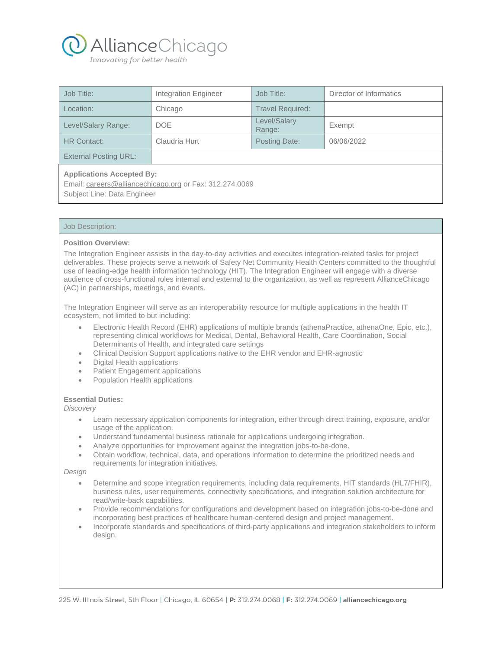

| Job Title:                                                                                                                 | <b>Integration Engineer</b> | Job Title:              | Director of Informatics |
|----------------------------------------------------------------------------------------------------------------------------|-----------------------------|-------------------------|-------------------------|
| Location:                                                                                                                  | Chicago                     | <b>Travel Required:</b> |                         |
| Level/Salary Range:                                                                                                        | <b>DOE</b>                  | Level/Salary<br>Range:  | Exempt                  |
| <b>HR Contact:</b>                                                                                                         | Claudria Hurt               | Posting Date:           | 06/06/2022              |
| <b>External Posting URL:</b>                                                                                               |                             |                         |                         |
| <b>Applications Accepted By:</b><br>Email: careers@alliancechicago.org or Fax: 312.274.0069<br>Subject Line: Data Engineer |                             |                         |                         |

## Job Description:

### **Position Overview:**

The Integration Engineer assists in the day-to-day activities and executes integration-related tasks for project deliverables. These projects serve a network of Safety Net Community Health Centers committed to the thoughtful use of leading-edge health information technology (HIT). The Integration Engineer will engage with a diverse audience of cross-functional roles internal and external to the organization, as well as represent AllianceChicago (AC) in partnerships, meetings, and events.

The Integration Engineer will serve as an interoperability resource for multiple applications in the health IT ecosystem, not limited to but including:

- Electronic Health Record (EHR) applications of multiple brands (athenaPractice, athenaOne, Epic, etc.), representing clinical workflows for Medical, Dental, Behavioral Health, Care Coordination, Social Determinants of Health, and integrated care settings
- Clinical Decision Support applications native to the EHR vendor and EHR-agnostic
- Digital Health applications
- Patient Engagement applications
- Population Health applications

#### **Essential Duties:**

#### *Discovery*

- Learn necessary application components for integration, either through direct training, exposure, and/or usage of the application.
- Understand fundamental business rationale for applications undergoing integration.
- Analyze opportunities for improvement against the integration jobs-to-be-done.
- Obtain workflow, technical, data, and operations information to determine the prioritized needs and requirements for integration initiatives.

*Design*

- Determine and scope integration requirements, including data requirements, HIT standards (HL7/FHIR), business rules, user requirements, connectivity specifications, and integration solution architecture for read/write-back capabilities.
- Provide recommendations for configurations and development based on integration jobs-to-be-done and incorporating best practices of healthcare human-centered design and project management.
- Incorporate standards and specifications of third-party applications and integration stakeholders to inform design.

225 W. Illinois Street, 5th Floor | Chicago, IL 60654 | P: 312.274.0068 | F: 312.274.0069 | alliancechicago.org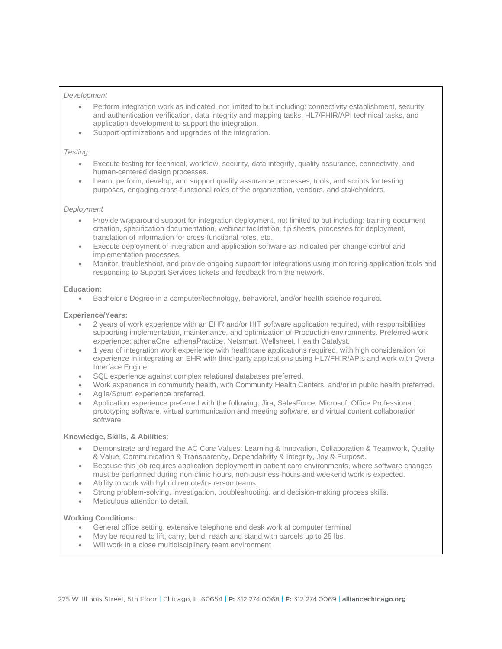### *Development*

- Perform integration work as indicated, not limited to but including: connectivity establishment, security and authentication verification, data integrity and mapping tasks, HL7/FHIR/API technical tasks, and application development to support the integration.
- Support optimizations and upgrades of the integration.

### *Testing*

- Execute testing for technical, workflow, security, data integrity, quality assurance, connectivity, and human-centered design processes.
- Learn, perform, develop, and support quality assurance processes, tools, and scripts for testing purposes, engaging cross-functional roles of the organization, vendors, and stakeholders.

### *Deployment*

- Provide wraparound support for integration deployment, not limited to but including: training document creation, specification documentation, webinar facilitation, tip sheets, processes for deployment, translation of information for cross-functional roles, etc.
- Execute deployment of integration and application software as indicated per change control and implementation processes.
- Monitor, troubleshoot, and provide ongoing support for integrations using monitoring application tools and responding to Support Services tickets and feedback from the network.

### **Education:**

• Bachelor's Degree in a computer/technology, behavioral, and/or health science required.

## **Experience/Years:**

- 2 years of work experience with an EHR and/or HIT software application required, with responsibilities supporting implementation, maintenance, and optimization of Production environments. Preferred work experience: athenaOne, athenaPractice, Netsmart, Wellsheet, Health Catalyst.
- 1 year of integration work experience with healthcare applications required, with high consideration for experience in integrating an EHR with third-party applications using HL7/FHIR/APIs and work with Qvera Interface Engine.
- SQL experience against complex relational databases preferred.
- Work experience in community health, with Community Health Centers, and/or in public health preferred.
- Agile/Scrum experience preferred.
- Application experience preferred with the following: Jira, SalesForce, Microsoft Office Professional, prototyping software, virtual communication and meeting software, and virtual content collaboration software.

## **Knowledge, Skills, & Abilities**:

- Demonstrate and regard the AC Core Values: Learning & Innovation, Collaboration & Teamwork, Quality & Value, Communication & Transparency, Dependability & Integrity, Joy & Purpose.
- Because this job requires application deployment in patient care environments, where software changes must be performed during non-clinic hours, non-business-hours and weekend work is expected.
- Ability to work with hybrid remote/in-person teams.
- Strong problem-solving, investigation, troubleshooting, and decision-making process skills.
- Meticulous attention to detail.

# **Working Conditions:**

- General office setting, extensive telephone and desk work at computer terminal
- May be required to lift, carry, bend, reach and stand with parcels up to 25 lbs.
- Will work in a close multidisciplinary team environment